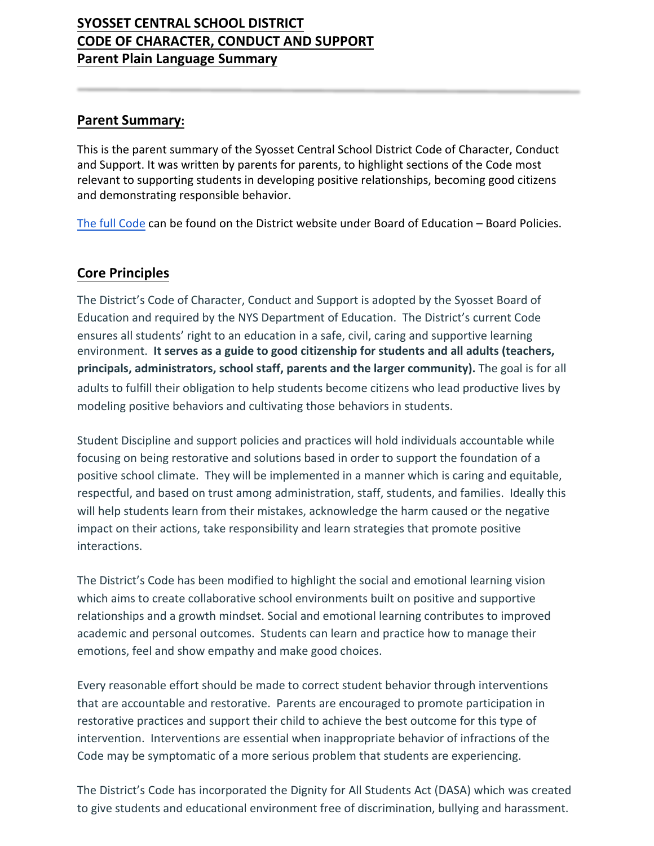# **SYOSSET CENTRAL SCHOOL DISTRICT CODE OF CHARACTER, CONDUCT AND SUPPORT Parent Plain Language Summary**

#### **Parent Summary:**

This is the parent summary of the Syosset Central School District Code of Character, Conduct and Support. It was written by parents for parents, to highlight sections of the Code most relevant to supporting students in developing positive relationships, becoming good citizens and demonstrating responsible behavior.

[The full Code](https://www.syossetschools.org/site/handlers/filedownload.ashx?moduleinstanceid=1296&dataid=9186&FileName=Policy%205300%20Code%20of%20conduct%20draft%2010.8.19.pdf) can be found on the District website under Board of Education – Board Policies.

#### **Core Principles**

The District's Code of Character, Conduct and Support is adopted by the Syosset Board of Education and required by the NYS Department of Education. The District's current Code ensures all students' right to an education in a safe, civil, caring and supportive learning environment. **It serves as a guide to good citizenship for students and all adults (teachers, principals, administrators, school staff, parents and the larger community).** The goal is for all adults to fulfill their obligation to help students become citizens who lead productive lives by modeling positive behaviors and cultivating those behaviors in students.

Student Discipline and support policies and practices will hold individuals accountable while focusing on being restorative and solutions based in order to support the foundation of a positive school climate. They will be implemented in a manner which is caring and equitable, respectful, and based on trust among administration, staff, students, and families. Ideally this will help students learn from their mistakes, acknowledge the harm caused or the negative impact on their actions, take responsibility and learn strategies that promote positive interactions.

The District's Code has been modified to highlight the social and emotional learning vision which aims to create collaborative school environments built on positive and supportive relationships and a growth mindset. Social and emotional learning contributes to improved academic and personal outcomes. Students can learn and practice how to manage their emotions, feel and show empathy and make good choices.

Every reasonable effort should be made to correct student behavior through interventions that are accountable and restorative. Parents are encouraged to promote participation in restorative practices and support their child to achieve the best outcome for this type of intervention. Interventions are essential when inappropriate behavior of infractions of the Code may be symptomatic of a more serious problem that students are experiencing.

The District's Code has incorporated the Dignity for All Students Act (DASA) which was created to give students and educational environment free of discrimination, bullying and harassment.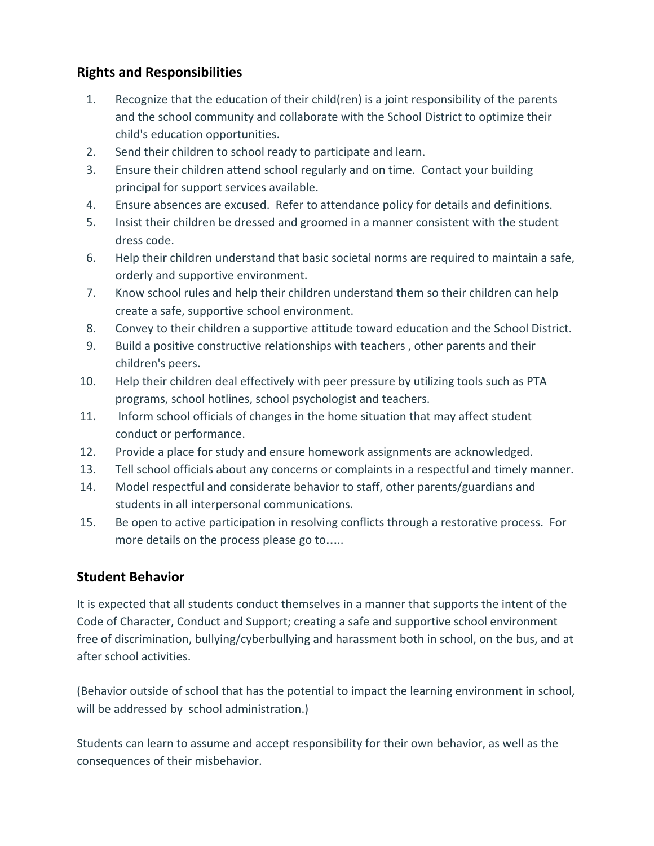## **Rights and Responsibilities**

- 1. Recognize that the education of their child(ren) is a joint responsibility of the parents and the school community and collaborate with the School District to optimize their child's education opportunities.
- 2. Send their children to school ready to participate and learn.
- 3. Ensure their children attend school regularly and on time. Contact your building principal for support services available.
- 4. Ensure absences are excused. Refer to attendance policy for details and definitions.
- 5. Insist their children be dressed and groomed in a manner consistent with the student dress code.
- 6. Help their children understand that basic societal norms are required to maintain a safe, orderly and supportive environment.
- 7. Know school rules and help their children understand them so their children can help create a safe, supportive school environment.
- 8. Convey to their children a supportive attitude toward education and the School District.
- 9. Build a positive constructive relationships with teachers , other parents and their children's peers.
- 10. Help their children deal effectively with peer pressure by utilizing tools such as PTA programs, school hotlines, school psychologist and teachers.
- 11. Inform school officials of changes in the home situation that may affect student conduct or performance.
- 12. Provide a place for study and ensure homework assignments are acknowledged.
- 13. Tell school officials about any concerns or complaints in a respectful and timely manner.
- 14. Model respectful and considerate behavior to staff, other parents/guardians and students in all interpersonal communications.
- 15. Be open to active participation in resolving conflicts through a restorative process. For more details on the process please go to.....

## **Student Behavior**

It is expected that all students conduct themselves in a manner that supports the intent of the Code of Character, Conduct and Support; creating a safe and supportive school environment free of discrimination, bullying/cyberbullying and harassment both in school, on the bus, and at after school activities.

(Behavior outside of school that has the potential to impact the learning environment in school, will be addressed by school administration.)

Students can learn to assume and accept responsibility for their own behavior, as well as the consequences of their misbehavior.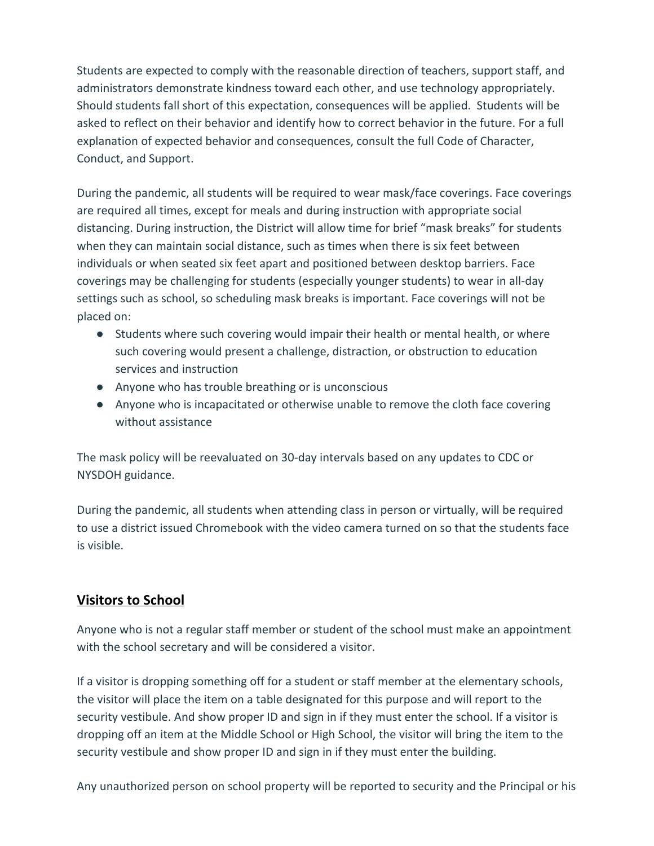Students are expected to comply with the reasonable direction of teachers, support staff, and administrators demonstrate kindness toward each other, and use technology appropriately. Should students fall short of this expectation, consequences will be applied. Students will be asked to reflect on their behavior and identify how to correct behavior in the future. For a full explanation of expected behavior and consequences, consult the full Code of Character, Conduct, and Support.

During the pandemic, all students will be required to wear mask/face coverings. Face coverings are required all times, except for meals and during instruction with appropriate social distancing. During instruction, the District will allow time for brief "mask breaks" for students when they can maintain social distance, such as times when there is six feet between individuals or when seated six feet apart and positioned between desktop barriers. Face coverings may be challenging for students (especially younger students) to wear in all-day settings such as school, so scheduling mask breaks is important. Face coverings will not be placed on:

- Students where such covering would impair their health or mental health, or where such covering would present a challenge, distraction, or obstruction to education services and instruction
- Anyone who has trouble breathing or is unconscious
- Anyone who is incapacitated or otherwise unable to remove the cloth face covering without assistance

The mask policy will be reevaluated on 30-day intervals based on any updates to CDC or NYSDOH guidance.

During the pandemic, all students when attending class in person or virtually, will be required to use a district issued Chromebook with the video camera turned on so that the students face is visible.

## **Visitors to School**

Anyone who is not a regular staff member or student of the school must make an appointment with the school secretary and will be considered a visitor.

If a visitor is dropping something off for a student or staff member at the elementary schools, the visitor will place the item on a table designated for this purpose and will report to the security vestibule. And show proper ID and sign in if they must enter the school. If a visitor is dropping off an item at the Middle School or High School, the visitor will bring the item to the security vestibule and show proper ID and sign in if they must enter the building.

Any unauthorized person on school property will be reported to security and the Principal or his